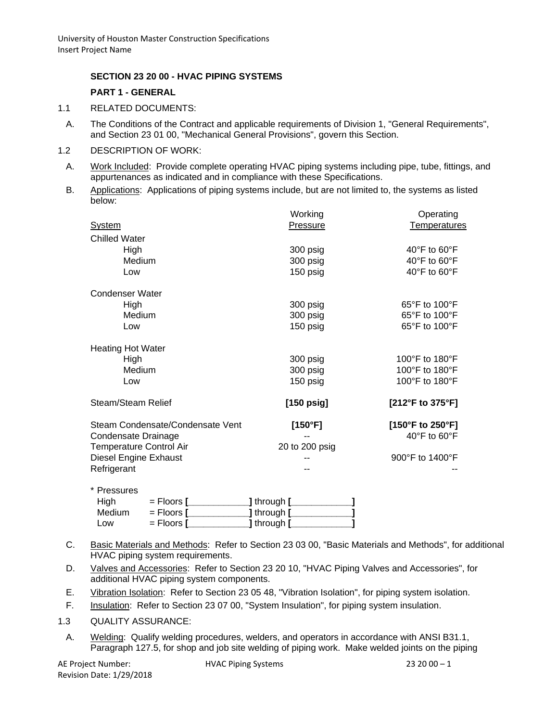#### **SECTION 23 20 00 - HVAC PIPING SYSTEMS**

#### **PART 1 - GENERAL**

- 1.1 RELATED DOCUMENTS:
	- A. The Conditions of the Contract and applicable requirements of Division 1, "General Requirements", and Section 23 01 00, "Mechanical General Provisions", govern this Section.
- 1.2 DESCRIPTION OF WORK:
- A. Work Included: Provide complete operating HVAC piping systems including pipe, tube, fittings, and appurtenances as indicated and in compliance with these Specifications.
- B. Applications: Applications of piping systems include, but are not limited to, the systems as listed below:

|                                  | Working        | Operating                          |
|----------------------------------|----------------|------------------------------------|
| <b>System</b>                    | Pressure       | <b>Temperatures</b>                |
| <b>Chilled Water</b>             |                |                                    |
| High                             | 300 psig       | 40 $\degree$ F to 60 $\degree$ F   |
| Medium                           | 300 psig       | 40 $\degree$ F to 60 $\degree$ F   |
| Low                              | 150 psig       | 40°F to 60°F                       |
| <b>Condenser Water</b>           |                |                                    |
| High                             | 300 psig       | $65^{\circ}$ F to 100 $^{\circ}$ F |
| Medium                           | 300 psig       | 65°F to 100°F                      |
| Low                              | 150 psig       | 65°F to 100°F                      |
| <b>Heating Hot Water</b>         |                |                                    |
| High                             | 300 psig       | 100°F to 180°F                     |
| Medium                           | 300 psig       | 100°F to 180°F                     |
| Low                              | 150 psig       | 100°F to 180°F                     |
| Steam/Steam Relief               | $[150$ psig]   | [212°F to 375°F]                   |
| Steam Condensate/Condensate Vent | [150°F]        | [150°F to 250°F]                   |
| Condensate Drainage              |                | $40^{\circ}$ F to 60 $^{\circ}$ F  |
| <b>Temperature Control Air</b>   | 20 to 200 psig |                                    |
| Diesel Engine Exhaust            |                | 900°F to 1400°F                    |
| Refrigerant                      |                |                                    |
| * Proceurge                      |                |                                    |

| .      |                     |             |  |
|--------|---------------------|-------------|--|
| High   | $=$ Floors $[$      | ] through [ |  |
| Medium | $=$ Floors $[$      | ] through [ |  |
| Low    | $=$ Floors $\Gamma$ | ] through [ |  |

- C. Basic Materials and Methods: Refer to Section 23 03 00, "Basic Materials and Methods", for additional HVAC piping system requirements.
- D. Valves and Accessories: Refer to Section 23 20 10, "HVAC Piping Valves and Accessories", for additional HVAC piping system components.
- E. Vibration Isolation: Refer to Section 23 05 48, "Vibration Isolation", for piping system isolation.
- F. Insulation: Refer to Section 23 07 00, "System Insulation", for piping system insulation.
- 1.3 QUALITY ASSURANCE:
	- A. Welding: Qualify welding procedures, welders, and operators in accordance with ANSI B31.1, Paragraph 127.5, for shop and job site welding of piping work. Make welded joints on the piping

AE Project Number: 
HVAC Piping Systems  $\frac{1}{2}$  HVAC Piping Systems

23 20 00 – 1 Revision Date: 1/29/2018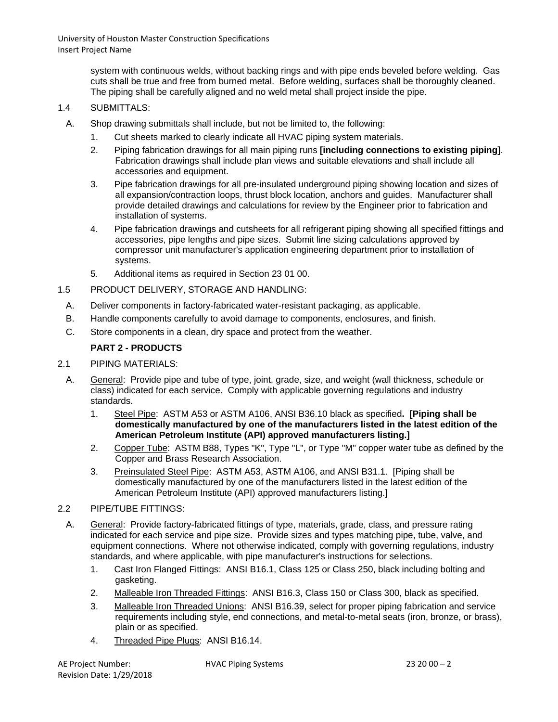> system with continuous welds, without backing rings and with pipe ends beveled before welding. Gas cuts shall be true and free from burned metal. Before welding, surfaces shall be thoroughly cleaned. The piping shall be carefully aligned and no weld metal shall project inside the pipe.

#### 1.4 SUBMITTALS:

- A. Shop drawing submittals shall include, but not be limited to, the following:
	- 1. Cut sheets marked to clearly indicate all HVAC piping system materials.
	- 2. Piping fabrication drawings for all main piping runs **[including connections to existing piping]**. Fabrication drawings shall include plan views and suitable elevations and shall include all accessories and equipment.
	- 3. Pipe fabrication drawings for all pre-insulated underground piping showing location and sizes of all expansion/contraction loops, thrust block location, anchors and guides. Manufacturer shall provide detailed drawings and calculations for review by the Engineer prior to fabrication and installation of systems.
	- 4. Pipe fabrication drawings and cutsheets for all refrigerant piping showing all specified fittings and accessories, pipe lengths and pipe sizes. Submit line sizing calculations approved by compressor unit manufacturer's application engineering department prior to installation of systems.
	- 5. Additional items as required in Section 23 01 00.
- 1.5 PRODUCT DELIVERY, STORAGE AND HANDLING:
	- A. Deliver components in factory-fabricated water-resistant packaging, as applicable.
	- B. Handle components carefully to avoid damage to components, enclosures, and finish.
	- C. Store components in a clean, dry space and protect from the weather.

# **PART 2 - PRODUCTS**

- 2.1 PIPING MATERIALS:
	- A. General: Provide pipe and tube of type, joint, grade, size, and weight (wall thickness, schedule or class) indicated for each service. Comply with applicable governing regulations and industry standards.
		- 1. Steel Pipe: ASTM A53 or ASTM A106, ANSI B36.10 black as specified**. [Piping shall be domestically manufactured by one of the manufacturers listed in the latest edition of the American Petroleum Institute (API) approved manufacturers listing.]**
		- 2. Copper Tube: ASTM B88, Types "K", Type "L", or Type "M" copper water tube as defined by the Copper and Brass Research Association.
		- 3. Preinsulated Steel Pipe: ASTM A53, ASTM A106, and ANSI B31.1. [Piping shall be domestically manufactured by one of the manufacturers listed in the latest edition of the American Petroleum Institute (API) approved manufacturers listing.]
- 2.2 PIPE/TUBE FITTINGS:
- A. General: Provide factory-fabricated fittings of type, materials, grade, class, and pressure rating indicated for each service and pipe size. Provide sizes and types matching pipe, tube, valve, and equipment connections. Where not otherwise indicated, comply with governing regulations, industry standards, and where applicable, with pipe manufacturer's instructions for selections.
	- 1. Cast Iron Flanged Fittings: ANSI B16.1, Class 125 or Class 250, black including bolting and gasketing.
	- 2. Malleable Iron Threaded Fittings: ANSI B16.3, Class 150 or Class 300, black as specified.
	- 3. Malleable Iron Threaded Unions: ANSI B16.39, select for proper piping fabrication and service requirements including style, end connections, and metal-to-metal seats (iron, bronze, or brass), plain or as specified.
	- 4. Threaded Pipe Plugs: ANSI B16.14.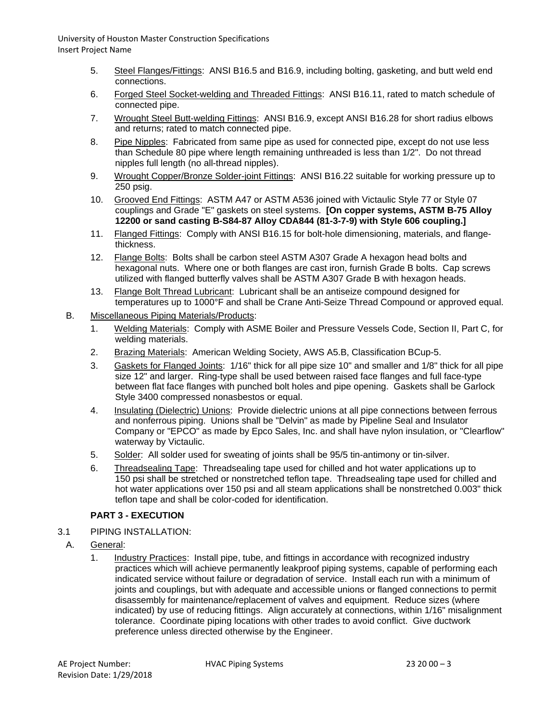- 5. Steel Flanges/Fittings: ANSI B16.5 and B16.9, including bolting, gasketing, and butt weld end connections.
- 6. Forged Steel Socket-welding and Threaded Fittings: ANSI B16.11, rated to match schedule of connected pipe.
- 7. Wrought Steel Butt-welding Fittings: ANSI B16.9, except ANSI B16.28 for short radius elbows and returns; rated to match connected pipe.
- 8. Pipe Nipples: Fabricated from same pipe as used for connected pipe, except do not use less than Schedule 80 pipe where length remaining unthreaded is less than 1/2". Do not thread nipples full length (no all-thread nipples).
- 9. Wrought Copper/Bronze Solder-joint Fittings: ANSI B16.22 suitable for working pressure up to 250 psig.
- 10. Grooved End Fittings: ASTM A47 or ASTM A536 joined with Victaulic Style 77 or Style 07 couplings and Grade "E" gaskets on steel systems. **[On copper systems, ASTM B-75 Alloy 12200 or sand casting B-S84-87 Alloy CDA844 (81-3-7-9) with Style 606 coupling.]**
- 11. Flanged Fittings: Comply with ANSI B16.15 for bolt-hole dimensioning, materials, and flangethickness.
- 12. Flange Bolts: Bolts shall be carbon steel ASTM A307 Grade A hexagon head bolts and hexagonal nuts. Where one or both flanges are cast iron, furnish Grade B bolts. Cap screws utilized with flanged butterfly valves shall be ASTM A307 Grade B with hexagon heads.
- 13. Flange Bolt Thread Lubricant: Lubricant shall be an antiseize compound designed for temperatures up to 1000°F and shall be Crane Anti-Seize Thread Compound or approved equal.
- B. Miscellaneous Piping Materials/Products:
	- 1. Welding Materials: Comply with ASME Boiler and Pressure Vessels Code, Section II, Part C, for welding materials.
	- 2. Brazing Materials: American Welding Society, AWS A5.B, Classification BCup-5.
	- 3. Gaskets for Flanged Joints: 1/16" thick for all pipe size 10" and smaller and 1/8" thick for all pipe size 12" and larger. Ring-type shall be used between raised face flanges and full face-type between flat face flanges with punched bolt holes and pipe opening. Gaskets shall be Garlock Style 3400 compressed nonasbestos or equal.
	- 4. Insulating (Dielectric) Unions: Provide dielectric unions at all pipe connections between ferrous and nonferrous piping. Unions shall be "Delvin" as made by Pipeline Seal and Insulator Company or "EPCO" as made by Epco Sales, Inc. and shall have nylon insulation, or "Clearflow" waterway by Victaulic.
	- 5. Solder: All solder used for sweating of joints shall be 95/5 tin-antimony or tin-silver.
	- 6. Threadsealing Tape: Threadsealing tape used for chilled and hot water applications up to 150 psi shall be stretched or nonstretched teflon tape. Threadsealing tape used for chilled and hot water applications over 150 psi and all steam applications shall be nonstretched 0.003" thick teflon tape and shall be color-coded for identification.

# **PART 3 - EXECUTION**

- 3.1 PIPING INSTALLATION:
	- A. General:
		- 1. Industry Practices: Install pipe, tube, and fittings in accordance with recognized industry practices which will achieve permanently leakproof piping systems, capable of performing each indicated service without failure or degradation of service. Install each run with a minimum of joints and couplings, but with adequate and accessible unions or flanged connections to permit disassembly for maintenance/replacement of valves and equipment. Reduce sizes (where indicated) by use of reducing fittings. Align accurately at connections, within 1/16" misalignment tolerance. Coordinate piping locations with other trades to avoid conflict. Give ductwork preference unless directed otherwise by the Engineer.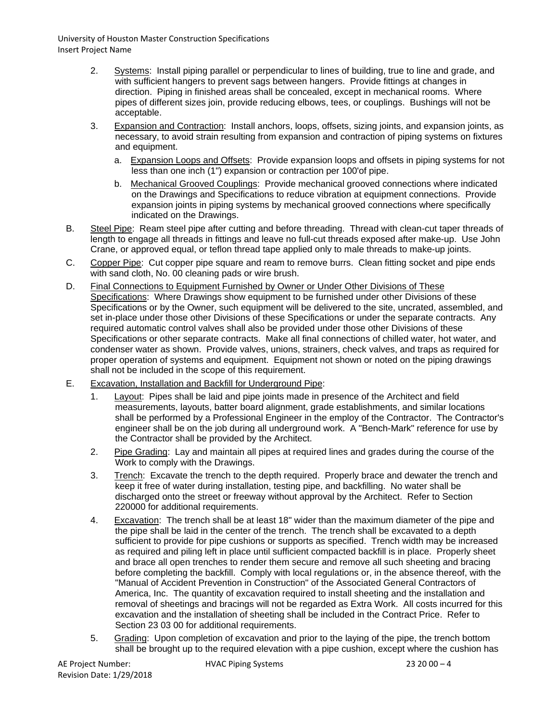- 2. Systems: Install piping parallel or perpendicular to lines of building, true to line and grade, and with sufficient hangers to prevent sags between hangers. Provide fittings at changes in direction. Piping in finished areas shall be concealed, except in mechanical rooms. Where pipes of different sizes join, provide reducing elbows, tees, or couplings. Bushings will not be acceptable.
- 3. Expansion and Contraction: Install anchors, loops, offsets, sizing joints, and expansion joints, as necessary, to avoid strain resulting from expansion and contraction of piping systems on fixtures and equipment.
	- a. Expansion Loops and Offsets: Provide expansion loops and offsets in piping systems for not less than one inch (1") expansion or contraction per 100'of pipe.
	- b. Mechanical Grooved Couplings: Provide mechanical grooved connections where indicated on the Drawings and Specifications to reduce vibration at equipment connections. Provide expansion joints in piping systems by mechanical grooved connections where specifically indicated on the Drawings.
- B. Steel Pipe: Ream steel pipe after cutting and before threading. Thread with clean-cut taper threads of length to engage all threads in fittings and leave no full-cut threads exposed after make-up. Use John Crane, or approved equal, or teflon thread tape applied only to male threads to make-up joints.
- C. Copper Pipe: Cut copper pipe square and ream to remove burrs. Clean fitting socket and pipe ends with sand cloth, No. 00 cleaning pads or wire brush.
- D. Final Connections to Equipment Furnished by Owner or Under Other Divisions of These Specifications: Where Drawings show equipment to be furnished under other Divisions of these Specifications or by the Owner, such equipment will be delivered to the site, uncrated, assembled, and set in-place under those other Divisions of these Specifications or under the separate contracts. Any required automatic control valves shall also be provided under those other Divisions of these Specifications or other separate contracts. Make all final connections of chilled water, hot water, and condenser water as shown. Provide valves, unions, strainers, check valves, and traps as required for proper operation of systems and equipment. Equipment not shown or noted on the piping drawings shall not be included in the scope of this requirement.
- E. Excavation, Installation and Backfill for Underground Pipe:
	- 1. Layout: Pipes shall be laid and pipe joints made in presence of the Architect and field measurements, layouts, batter board alignment, grade establishments, and similar locations shall be performed by a Professional Engineer in the employ of the Contractor. The Contractor's engineer shall be on the job during all underground work. A "Bench-Mark" reference for use by the Contractor shall be provided by the Architect.
	- 2. Pipe Grading: Lay and maintain all pipes at required lines and grades during the course of the Work to comply with the Drawings.
	- 3. Trench: Excavate the trench to the depth required. Properly brace and dewater the trench and keep it free of water during installation, testing pipe, and backfilling. No water shall be discharged onto the street or freeway without approval by the Architect. Refer to Section 220000 for additional requirements.
	- 4. Excavation: The trench shall be at least 18" wider than the maximum diameter of the pipe and the pipe shall be laid in the center of the trench. The trench shall be excavated to a depth sufficient to provide for pipe cushions or supports as specified. Trench width may be increased as required and piling left in place until sufficient compacted backfill is in place. Properly sheet and brace all open trenches to render them secure and remove all such sheeting and bracing before completing the backfill. Comply with local regulations or, in the absence thereof, with the "Manual of Accident Prevention in Construction" of the Associated General Contractors of America, Inc. The quantity of excavation required to install sheeting and the installation and removal of sheetings and bracings will not be regarded as Extra Work. All costs incurred for this excavation and the installation of sheeting shall be included in the Contract Price. Refer to Section 23 03 00 for additional requirements.
	- 5. Grading: Upon completion of excavation and prior to the laying of the pipe, the trench bottom shall be brought up to the required elevation with a pipe cushion, except where the cushion has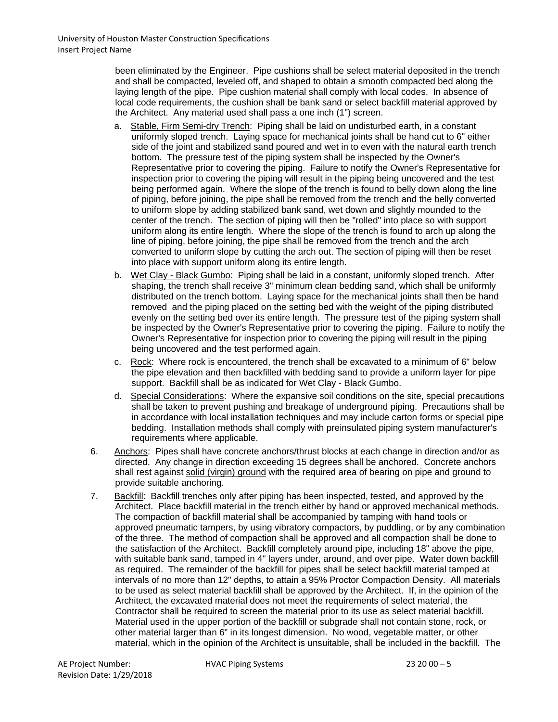been eliminated by the Engineer. Pipe cushions shall be select material deposited in the trench and shall be compacted, leveled off, and shaped to obtain a smooth compacted bed along the laying length of the pipe. Pipe cushion material shall comply with local codes. In absence of local code requirements, the cushion shall be bank sand or select backfill material approved by the Architect. Any material used shall pass a one inch (1") screen.

- a. Stable, Firm Semi-dry Trench: Piping shall be laid on undisturbed earth, in a constant uniformly sloped trench. Laying space for mechanical joints shall be hand cut to 6" either side of the joint and stabilized sand poured and wet in to even with the natural earth trench bottom. The pressure test of the piping system shall be inspected by the Owner's Representative prior to covering the piping. Failure to notify the Owner's Representative for inspection prior to covering the piping will result in the piping being uncovered and the test being performed again. Where the slope of the trench is found to belly down along the line of piping, before joining, the pipe shall be removed from the trench and the belly converted to uniform slope by adding stabilized bank sand, wet down and slightly mounded to the center of the trench. The section of piping will then be "rolled" into place so with support uniform along its entire length. Where the slope of the trench is found to arch up along the line of piping, before joining, the pipe shall be removed from the trench and the arch converted to uniform slope by cutting the arch out. The section of piping will then be reset into place with support uniform along its entire length.
- b. Wet Clay Black Gumbo: Piping shall be laid in a constant, uniformly sloped trench. After shaping, the trench shall receive 3" minimum clean bedding sand, which shall be uniformly distributed on the trench bottom. Laying space for the mechanical joints shall then be hand removed and the piping placed on the setting bed with the weight of the piping distributed evenly on the setting bed over its entire length. The pressure test of the piping system shall be inspected by the Owner's Representative prior to covering the piping. Failure to notify the Owner's Representative for inspection prior to covering the piping will result in the piping being uncovered and the test performed again.
- c. Rock: Where rock is encountered, the trench shall be excavated to a minimum of 6" below the pipe elevation and then backfilled with bedding sand to provide a uniform layer for pipe support. Backfill shall be as indicated for Wet Clay - Black Gumbo.
- d. Special Considerations: Where the expansive soil conditions on the site, special precautions shall be taken to prevent pushing and breakage of underground piping. Precautions shall be in accordance with local installation techniques and may include carton forms or special pipe bedding. Installation methods shall comply with preinsulated piping system manufacturer's requirements where applicable.
- 6. Anchors: Pipes shall have concrete anchors/thrust blocks at each change in direction and/or as directed. Any change in direction exceeding 15 degrees shall be anchored. Concrete anchors shall rest against solid (virgin) ground with the required area of bearing on pipe and ground to provide suitable anchoring.
- 7. Backfill: Backfill trenches only after piping has been inspected, tested, and approved by the Architect. Place backfill material in the trench either by hand or approved mechanical methods. The compaction of backfill material shall be accompanied by tamping with hand tools or approved pneumatic tampers, by using vibratory compactors, by puddling, or by any combination of the three. The method of compaction shall be approved and all compaction shall be done to the satisfaction of the Architect. Backfill completely around pipe, including 18" above the pipe, with suitable bank sand, tamped in 4" layers under, around, and over pipe. Water down backfill as required. The remainder of the backfill for pipes shall be select backfill material tamped at intervals of no more than 12" depths, to attain a 95% Proctor Compaction Density. All materials to be used as select material backfill shall be approved by the Architect. If, in the opinion of the Architect, the excavated material does not meet the requirements of select material, the Contractor shall be required to screen the material prior to its use as select material backfill. Material used in the upper portion of the backfill or subgrade shall not contain stone, rock, or other material larger than 6" in its longest dimension. No wood, vegetable matter, or other material, which in the opinion of the Architect is unsuitable, shall be included in the backfill. The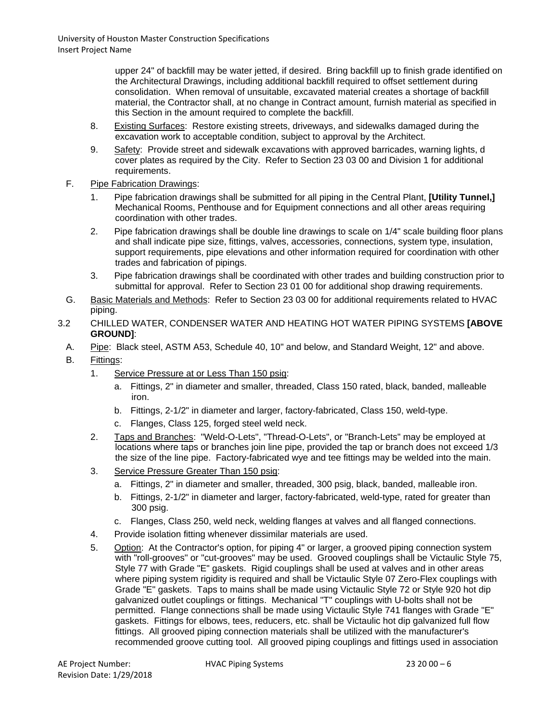upper 24" of backfill may be water jetted, if desired. Bring backfill up to finish grade identified on the Architectural Drawings, including additional backfill required to offset settlement during consolidation. When removal of unsuitable, excavated material creates a shortage of backfill material, the Contractor shall, at no change in Contract amount, furnish material as specified in this Section in the amount required to complete the backfill.

- 8. Existing Surfaces: Restore existing streets, driveways, and sidewalks damaged during the excavation work to acceptable condition, subject to approval by the Architect.
- 9. Safety: Provide street and sidewalk excavations with approved barricades, warning lights, d cover plates as required by the City. Refer to Section 23 03 00 and Division 1 for additional requirements.
- F. Pipe Fabrication Drawings:
	- 1. Pipe fabrication drawings shall be submitted for all piping in the Central Plant, **[Utility Tunnel,]** Mechanical Rooms, Penthouse and for Equipment connections and all other areas requiring coordination with other trades.
	- 2. Pipe fabrication drawings shall be double line drawings to scale on 1/4" scale building floor plans and shall indicate pipe size, fittings, valves, accessories, connections, system type, insulation, support requirements, pipe elevations and other information required for coordination with other trades and fabrication of pipings.
	- 3. Pipe fabrication drawings shall be coordinated with other trades and building construction prior to submittal for approval. Refer to Section 23 01 00 for additional shop drawing requirements.
- G. Basic Materials and Methods: Refer to Section 23 03 00 for additional requirements related to HVAC piping.
- 3.2 CHILLED WATER, CONDENSER WATER AND HEATING HOT WATER PIPING SYSTEMS **[ABOVE GROUND]**:
	- A. Pipe: Black steel, ASTM A53, Schedule 40, 10" and below, and Standard Weight, 12" and above.
	- B. Fittings:
		- 1. Service Pressure at or Less Than 150 psig:
			- a. Fittings, 2" in diameter and smaller, threaded, Class 150 rated, black, banded, malleable iron.
			- b. Fittings, 2-1/2" in diameter and larger, factory-fabricated, Class 150, weld-type.
			- c. Flanges, Class 125, forged steel weld neck.
		- 2. Taps and Branches: "Weld-O-Lets", "Thread-O-Lets", or "Branch-Lets" may be employed at locations where taps or branches join line pipe, provided the tap or branch does not exceed 1/3 the size of the line pipe. Factory-fabricated wye and tee fittings may be welded into the main.
		- 3. Service Pressure Greater Than 150 psig:
			- a. Fittings, 2" in diameter and smaller, threaded, 300 psig, black, banded, malleable iron.
			- b. Fittings, 2-1/2" in diameter and larger, factory-fabricated, weld-type, rated for greater than 300 psig.
			- c. Flanges, Class 250, weld neck, welding flanges at valves and all flanged connections.
		- 4. Provide isolation fitting whenever dissimilar materials are used.
		- 5. Option: At the Contractor's option, for piping 4" or larger, a grooved piping connection system with "roll-grooves" or "cut-grooves" may be used. Grooved couplings shall be Victaulic Style 75, Style 77 with Grade "E" gaskets. Rigid couplings shall be used at valves and in other areas where piping system rigidity is required and shall be Victaulic Style 07 Zero-Flex couplings with Grade "E" gaskets. Taps to mains shall be made using Victaulic Style 72 or Style 920 hot dip galvanized outlet couplings or fittings. Mechanical "T" couplings with U-bolts shall not be permitted. Flange connections shall be made using Victaulic Style 741 flanges with Grade "E" gaskets. Fittings for elbows, tees, reducers, etc. shall be Victaulic hot dip galvanized full flow fittings. All grooved piping connection materials shall be utilized with the manufacturer's recommended groove cutting tool. All grooved piping couplings and fittings used in association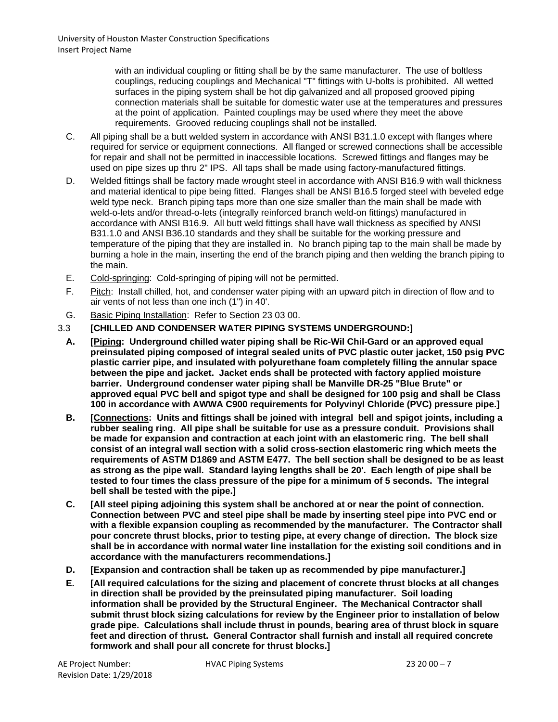with an individual coupling or fitting shall be by the same manufacturer. The use of boltless couplings, reducing couplings and Mechanical "T" fittings with U-bolts is prohibited. All wetted surfaces in the piping system shall be hot dip galvanized and all proposed grooved piping connection materials shall be suitable for domestic water use at the temperatures and pressures at the point of application. Painted couplings may be used where they meet the above requirements. Grooved reducing couplings shall not be installed.

- C. All piping shall be a butt welded system in accordance with ANSI B31.1.0 except with flanges where required for service or equipment connections. All flanged or screwed connections shall be accessible for repair and shall not be permitted in inaccessible locations. Screwed fittings and flanges may be used on pipe sizes up thru 2" IPS. All taps shall be made using factory-manufactured fittings.
- D. Welded fittings shall be factory made wrought steel in accordance with ANSI B16.9 with wall thickness and material identical to pipe being fitted. Flanges shall be ANSI B16.5 forged steel with beveled edge weld type neck. Branch piping taps more than one size smaller than the main shall be made with weld-o-lets and/or thread-o-lets (integrally reinforced branch weld-on fittings) manufactured in accordance with ANSI B16.9. All butt weld fittings shall have wall thickness as specified by ANSI B31.1.0 and ANSI B36.10 standards and they shall be suitable for the working pressure and temperature of the piping that they are installed in. No branch piping tap to the main shall be made by burning a hole in the main, inserting the end of the branch piping and then welding the branch piping to the main.
- E. Cold-springing: Cold-springing of piping will not be permitted.
- F. Pitch: Install chilled, hot, and condenser water piping with an upward pitch in direction of flow and to air vents of not less than one inch (1") in 40'.
- G. Basic Piping Installation: Refer to Section 23 03 00.
- 3.3 **[CHILLED AND CONDENSER WATER PIPING SYSTEMS UNDERGROUND:]**
- **A. [Piping: Underground chilled water piping shall be Ric-Wil Chil-Gard or an approved equal preinsulated piping composed of integral sealed units of PVC plastic outer jacket, 150 psig PVC plastic carrier pipe, and insulated with polyurethane foam completely filling the annular space between the pipe and jacket. Jacket ends shall be protected with factory applied moisture barrier. Underground condenser water piping shall be Manville DR-25 "Blue Brute" or approved equal PVC bell and spigot type and shall be designed for 100 psig and shall be Class 100 in accordance with AWWA C900 requirements for Polyvinyl Chloride (PVC) pressure pipe.]**
- **B. [Connections: Units and fittings shall be joined with integral bell and spigot joints, including a rubber sealing ring. All pipe shall be suitable for use as a pressure conduit. Provisions shall be made for expansion and contraction at each joint with an elastomeric ring. The bell shall consist of an integral wall section with a solid cross-section elastomeric ring which meets the requirements of ASTM D1869 and ASTM E477. The bell section shall be designed to be as least as strong as the pipe wall. Standard laying lengths shall be 20'. Each length of pipe shall be tested to four times the class pressure of the pipe for a minimum of 5 seconds. The integral bell shall be tested with the pipe.]**
- **C. [All steel piping adjoining this system shall be anchored at or near the point of connection. Connection between PVC and steel pipe shall be made by inserting steel pipe into PVC end or with a flexible expansion coupling as recommended by the manufacturer. The Contractor shall pour concrete thrust blocks, prior to testing pipe, at every change of direction. The block size shall be in accordance with normal water line installation for the existing soil conditions and in accordance with the manufacturers recommendations.]**
- **D. [Expansion and contraction shall be taken up as recommended by pipe manufacturer.]**
- **E. [All required calculations for the sizing and placement of concrete thrust blocks at all changes in direction shall be provided by the preinsulated piping manufacturer. Soil loading information shall be provided by the Structural Engineer. The Mechanical Contractor shall submit thrust block sizing calculations for review by the Engineer prior to installation of below grade pipe. Calculations shall include thrust in pounds, bearing area of thrust block in square feet and direction of thrust. General Contractor shall furnish and install all required concrete formwork and shall pour all concrete for thrust blocks.]**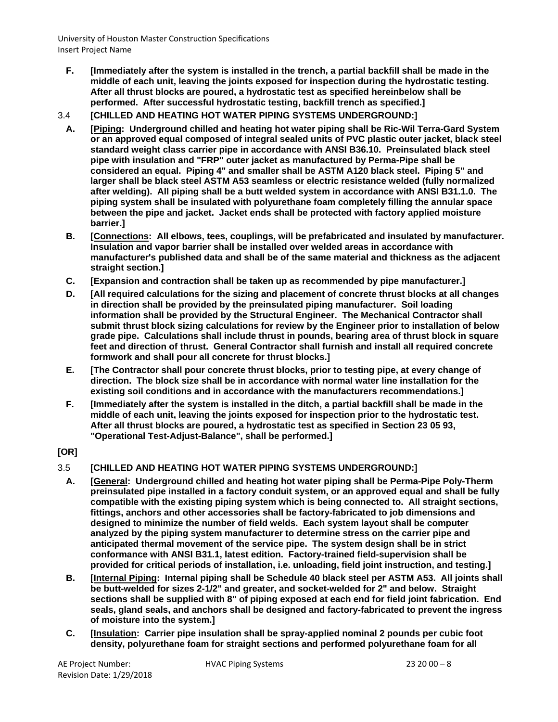**F. [Immediately after the system is installed in the trench, a partial backfill shall be made in the middle of each unit, leaving the joints exposed for inspection during the hydrostatic testing. After all thrust blocks are poured, a hydrostatic test as specified hereinbelow shall be performed. After successful hydrostatic testing, backfill trench as specified.]**

# 3.4 **[CHILLED AND HEATING HOT WATER PIPING SYSTEMS UNDERGROUND:]**

- **A. [Piping: Underground chilled and heating hot water piping shall be Ric-Wil Terra-Gard System or an approved equal composed of integral sealed units of PVC plastic outer jacket, black steel standard weight class carrier pipe in accordance with ANSI B36.10. Preinsulated black steel pipe with insulation and "FRP" outer jacket as manufactured by Perma-Pipe shall be considered an equal. Piping 4" and smaller shall be ASTM A120 black steel. Piping 5" and larger shall be black steel ASTM A53 seamless or electric resistance welded (fully normalized after welding). All piping shall be a butt welded system in accordance with ANSI B31.1.0. The piping system shall be insulated with polyurethane foam completely filling the annular space between the pipe and jacket. Jacket ends shall be protected with factory applied moisture barrier.]**
- **B. [Connections: All elbows, tees, couplings, will be prefabricated and insulated by manufacturer. Insulation and vapor barrier shall be installed over welded areas in accordance with manufacturer's published data and shall be of the same material and thickness as the adjacent straight section.]**
- **C. [Expansion and contraction shall be taken up as recommended by pipe manufacturer.]**
- **D. [All required calculations for the sizing and placement of concrete thrust blocks at all changes in direction shall be provided by the preinsulated piping manufacturer. Soil loading information shall be provided by the Structural Engineer. The Mechanical Contractor shall submit thrust block sizing calculations for review by the Engineer prior to installation of below grade pipe. Calculations shall include thrust in pounds, bearing area of thrust block in square feet and direction of thrust. General Contractor shall furnish and install all required concrete formwork and shall pour all concrete for thrust blocks.]**
- **E. [The Contractor shall pour concrete thrust blocks, prior to testing pipe, at every change of direction. The block size shall be in accordance with normal water line installation for the existing soil conditions and in accordance with the manufacturers recommendations.]**
- **F. [Immediately after the system is installed in the ditch, a partial backfill shall be made in the middle of each unit, leaving the joints exposed for inspection prior to the hydrostatic test. After all thrust blocks are poured, a hydrostatic test as specified in Section 23 05 93, "Operational Test-Adjust-Balance", shall be performed.]**

#### **[OR]**

# 3.5 **[CHILLED AND HEATING HOT WATER PIPING SYSTEMS UNDERGROUND:]**

- **A. [General: Underground chilled and heating hot water piping shall be Perma-Pipe Poly-Therm preinsulated pipe installed in a factory conduit system, or an approved equal and shall be fully compatible with the existing piping system which is being connected to. All straight sections, fittings, anchors and other accessories shall be factory-fabricated to job dimensions and designed to minimize the number of field welds. Each system layout shall be computer analyzed by the piping system manufacturer to determine stress on the carrier pipe and anticipated thermal movement of the service pipe. The system design shall be in strict conformance with ANSI B31.1, latest edition. Factory-trained field-supervision shall be provided for critical periods of installation, i.e. unloading, field joint instruction, and testing.]**
- **B. [Internal Piping: Internal piping shall be Schedule 40 black steel per ASTM A53. All joints shall be butt-welded for sizes 2-1/2" and greater, and socket-welded for 2" and below. Straight sections shall be supplied with 8" of piping exposed at each end for field joint fabrication. End seals, gland seals, and anchors shall be designed and factory-fabricated to prevent the ingress of moisture into the system.]**
- **C. [Insulation: Carrier pipe insulation shall be spray-applied nominal 2 pounds per cubic foot density, polyurethane foam for straight sections and performed polyurethane foam for all**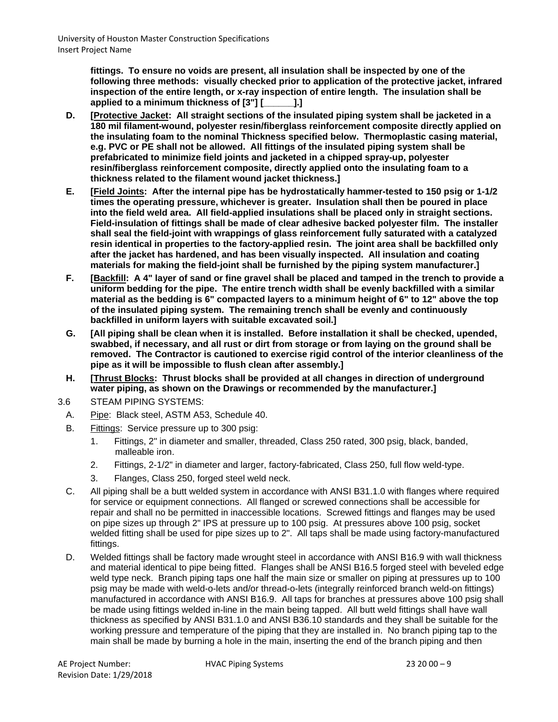**fittings. To ensure no voids are present, all insulation shall be inspected by one of the following three methods: visually checked prior to application of the protective jacket, infrared inspection of the entire length, or x-ray inspection of entire length. The insulation shall be applied to a minimum thickness of [3"] [\_\_\_\_\_\_].]**

- **D. [Protective Jacket: All straight sections of the insulated piping system shall be jacketed in a 180 mil filament-wound, polyester resin/fiberglass reinforcement composite directly applied on the insulating foam to the nominal Thickness specified below. Thermoplastic casing material, e.g. PVC or PE shall not be allowed. All fittings of the insulated piping system shall be prefabricated to minimize field joints and jacketed in a chipped spray-up, polyester resin/fiberglass reinforcement composite, directly applied onto the insulating foam to a thickness related to the filament wound jacket thickness.]**
- **E. [Field Joints: After the internal pipe has be hydrostatically hammer-tested to 150 psig or 1-1/2 times the operating pressure, whichever is greater. Insulation shall then be poured in place into the field weld area. All field-applied insulations shall be placed only in straight sections. Field-insulation of fittings shall be made of clear adhesive backed polyester film. The installer shall seal the field-joint with wrappings of glass reinforcement fully saturated with a catalyzed resin identical in properties to the factory-applied resin. The joint area shall be backfilled only after the jacket has hardened, and has been visually inspected. All insulation and coating materials for making the field-joint shall be furnished by the piping system manufacturer.]**
- **F. [Backfill: A 4" layer of sand or fine gravel shall be placed and tamped in the trench to provide a uniform bedding for the pipe. The entire trench width shall be evenly backfilled with a similar material as the bedding is 6" compacted layers to a minimum height of 6" to 12" above the top of the insulated piping system. The remaining trench shall be evenly and continuously backfilled in uniform layers with suitable excavated soil.]**
- **G. [All piping shall be clean when it is installed. Before installation it shall be checked, upended, swabbed, if necessary, and all rust or dirt from storage or from laying on the ground shall be removed. The Contractor is cautioned to exercise rigid control of the interior cleanliness of the pipe as it will be impossible to flush clean after assembly.]**
- **H. [Thrust Blocks: Thrust blocks shall be provided at all changes in direction of underground water piping, as shown on the Drawings or recommended by the manufacturer.]**
- 3.6 STEAM PIPING SYSTEMS:
	- A. Pipe: Black steel, ASTM A53, Schedule 40.
	- B. Fittings: Service pressure up to 300 psig:
		- 1. Fittings, 2" in diameter and smaller, threaded, Class 250 rated, 300 psig, black, banded, malleable iron.
		- 2. Fittings, 2-1/2" in diameter and larger, factory-fabricated, Class 250, full flow weld-type.
		- 3. Flanges, Class 250, forged steel weld neck.
	- C. All piping shall be a butt welded system in accordance with ANSI B31.1.0 with flanges where required for service or equipment connections. All flanged or screwed connections shall be accessible for repair and shall no be permitted in inaccessible locations. Screwed fittings and flanges may be used on pipe sizes up through 2" IPS at pressure up to 100 psig. At pressures above 100 psig, socket welded fitting shall be used for pipe sizes up to 2". All taps shall be made using factory-manufactured fittings.
	- D. Welded fittings shall be factory made wrought steel in accordance with ANSI B16.9 with wall thickness and material identical to pipe being fitted. Flanges shall be ANSI B16.5 forged steel with beveled edge weld type neck. Branch piping taps one half the main size or smaller on piping at pressures up to 100 psig may be made with weld-o-lets and/or thread-o-lets (integrally reinforced branch weld-on fittings) manufactured in accordance with ANSI B16.9. All taps for branches at pressures above 100 psig shall be made using fittings welded in-line in the main being tapped. All butt weld fittings shall have wall thickness as specified by ANSI B31.1.0 and ANSI B36.10 standards and they shall be suitable for the working pressure and temperature of the piping that they are installed in. No branch piping tap to the main shall be made by burning a hole in the main, inserting the end of the branch piping and then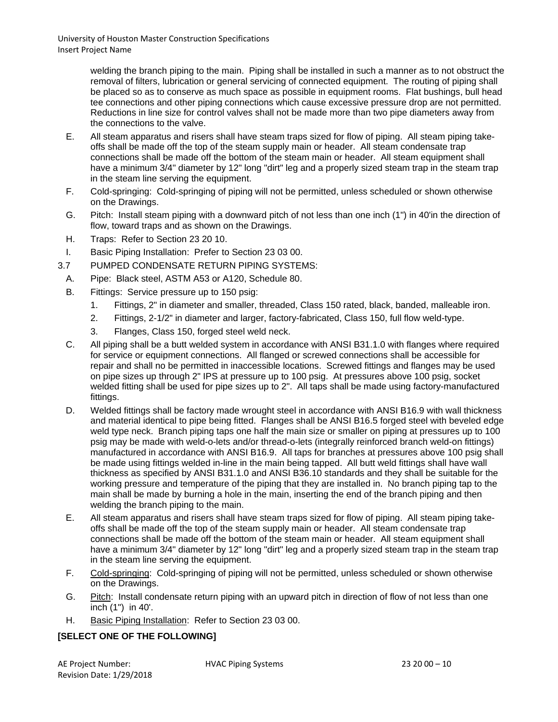> welding the branch piping to the main. Piping shall be installed in such a manner as to not obstruct the removal of filters, lubrication or general servicing of connected equipment. The routing of piping shall be placed so as to conserve as much space as possible in equipment rooms. Flat bushings, bull head tee connections and other piping connections which cause excessive pressure drop are not permitted. Reductions in line size for control valves shall not be made more than two pipe diameters away from the connections to the valve.

- E. All steam apparatus and risers shall have steam traps sized for flow of piping. All steam piping takeoffs shall be made off the top of the steam supply main or header. All steam condensate trap connections shall be made off the bottom of the steam main or header. All steam equipment shall have a minimum 3/4" diameter by 12" long "dirt" leg and a properly sized steam trap in the steam trap in the steam line serving the equipment.
- F. Cold-springing: Cold-springing of piping will not be permitted, unless scheduled or shown otherwise on the Drawings.
- G. Pitch: Install steam piping with a downward pitch of not less than one inch (1") in 40'in the direction of flow, toward traps and as shown on the Drawings.
- H. Traps: Refer to Section 23 20 10.
- I. Basic Piping Installation: Prefer to Section 23 03 00.
- 3.7 PUMPED CONDENSATE RETURN PIPING SYSTEMS:
	- A. Pipe: Black steel, ASTM A53 or A120, Schedule 80.
	- B. Fittings: Service pressure up to 150 psig:
		- 1. Fittings, 2" in diameter and smaller, threaded, Class 150 rated, black, banded, malleable iron.
		- 2. Fittings, 2-1/2" in diameter and larger, factory-fabricated, Class 150, full flow weld-type.
		- 3. Flanges, Class 150, forged steel weld neck.
	- C. All piping shall be a butt welded system in accordance with ANSI B31.1.0 with flanges where required for service or equipment connections. All flanged or screwed connections shall be accessible for repair and shall no be permitted in inaccessible locations. Screwed fittings and flanges may be used on pipe sizes up through 2" IPS at pressure up to 100 psig. At pressures above 100 psig, socket welded fitting shall be used for pipe sizes up to 2". All taps shall be made using factory-manufactured fittings.
	- D. Welded fittings shall be factory made wrought steel in accordance with ANSI B16.9 with wall thickness and material identical to pipe being fitted. Flanges shall be ANSI B16.5 forged steel with beveled edge weld type neck. Branch piping taps one half the main size or smaller on piping at pressures up to 100 psig may be made with weld-o-lets and/or thread-o-lets (integrally reinforced branch weld-on fittings) manufactured in accordance with ANSI B16.9. All taps for branches at pressures above 100 psig shall be made using fittings welded in-line in the main being tapped. All butt weld fittings shall have wall thickness as specified by ANSI B31.1.0 and ANSI B36.10 standards and they shall be suitable for the working pressure and temperature of the piping that they are installed in. No branch piping tap to the main shall be made by burning a hole in the main, inserting the end of the branch piping and then welding the branch piping to the main.
	- E. All steam apparatus and risers shall have steam traps sized for flow of piping. All steam piping takeoffs shall be made off the top of the steam supply main or header. All steam condensate trap connections shall be made off the bottom of the steam main or header. All steam equipment shall have a minimum 3/4" diameter by 12" long "dirt" leg and a properly sized steam trap in the steam trap in the steam line serving the equipment.
	- F. Cold-springing: Cold-springing of piping will not be permitted, unless scheduled or shown otherwise on the Drawings.
	- G. Pitch: Install condensate return piping with an upward pitch in direction of flow of not less than one inch (1") in 40'.
	- H. Basic Piping Installation: Refer to Section 23 03 00.

# **[SELECT ONE OF THE FOLLOWING]**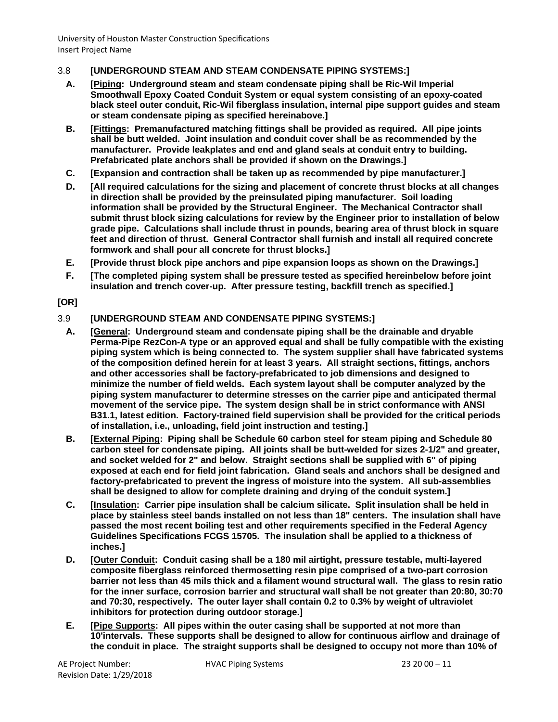### 3.8 **[UNDERGROUND STEAM AND STEAM CONDENSATE PIPING SYSTEMS:]**

- **A. [Piping: Underground steam and steam condensate piping shall be Ric-Wil Imperial Smoothwall Epoxy Coated Conduit System or equal system consisting of an epoxy-coated black steel outer conduit, Ric-Wil fiberglass insulation, internal pipe support guides and steam or steam condensate piping as specified hereinabove.]**
- **B. [Fittings: Premanufactured matching fittings shall be provided as required. All pipe joints shall be butt welded. Joint insulation and conduit cover shall be as recommended by the manufacturer. Provide leakplates and end and gland seals at conduit entry to building. Prefabricated plate anchors shall be provided if shown on the Drawings.]**
- **C. [Expansion and contraction shall be taken up as recommended by pipe manufacturer.]**
- **D. [All required calculations for the sizing and placement of concrete thrust blocks at all changes in direction shall be provided by the preinsulated piping manufacturer. Soil loading information shall be provided by the Structural Engineer. The Mechanical Contractor shall submit thrust block sizing calculations for review by the Engineer prior to installation of below grade pipe. Calculations shall include thrust in pounds, bearing area of thrust block in square feet and direction of thrust. General Contractor shall furnish and install all required concrete formwork and shall pour all concrete for thrust blocks.]**
- **E. [Provide thrust block pipe anchors and pipe expansion loops as shown on the Drawings.]**
- **F. [The completed piping system shall be pressure tested as specified hereinbelow before joint insulation and trench cover-up. After pressure testing, backfill trench as specified.]**

#### **[OR]**

- 3.9 **[UNDERGROUND STEAM AND CONDENSATE PIPING SYSTEMS:]**
	- **A. [General: Underground steam and condensate piping shall be the drainable and dryable Perma-Pipe RezCon-A type or an approved equal and shall be fully compatible with the existing piping system which is being connected to. The system supplier shall have fabricated systems of the composition defined herein for at least 3 years. All straight sections, fittings, anchors and other accessories shall be factory-prefabricated to job dimensions and designed to minimize the number of field welds. Each system layout shall be computer analyzed by the piping system manufacturer to determine stresses on the carrier pipe and anticipated thermal movement of the service pipe. The system design shall be in strict conformance with ANSI B31.1, latest edition. Factory-trained field supervision shall be provided for the critical periods of installation, i.e., unloading, field joint instruction and testing.]**
	- **B. [External Piping: Piping shall be Schedule 60 carbon steel for steam piping and Schedule 80 carbon steel for condensate piping. All joints shall be butt-welded for sizes 2-1/2" and greater, and socket welded for 2" and below. Straight sections shall be supplied with 6" of piping exposed at each end for field joint fabrication. Gland seals and anchors shall be designed and factory-prefabricated to prevent the ingress of moisture into the system. All sub-assemblies shall be designed to allow for complete draining and drying of the conduit system.]**
	- **C. [Insulation: Carrier pipe insulation shall be calcium silicate. Split insulation shall be held in place by stainless steel bands installed on not less than 18" centers. The insulation shall have passed the most recent boiling test and other requirements specified in the Federal Agency Guidelines Specifications FCGS 15705. The insulation shall be applied to a thickness of inches.]**
	- **D. [Outer Conduit: Conduit casing shall be a 180 mil airtight, pressure testable, multi-layered composite fiberglass reinforced thermosetting resin pipe comprised of a two-part corrosion barrier not less than 45 mils thick and a filament wound structural wall. The glass to resin ratio for the inner surface, corrosion barrier and structural wall shall be not greater than 20:80, 30:70 and 70:30, respectively. The outer layer shall contain 0.2 to 0.3% by weight of ultraviolet inhibitors for protection during outdoor storage.]**
	- **E. [Pipe Supports: All pipes within the outer casing shall be supported at not more than 10'intervals. These supports shall be designed to allow for continuous airflow and drainage of the conduit in place. The straight supports shall be designed to occupy not more than 10% of**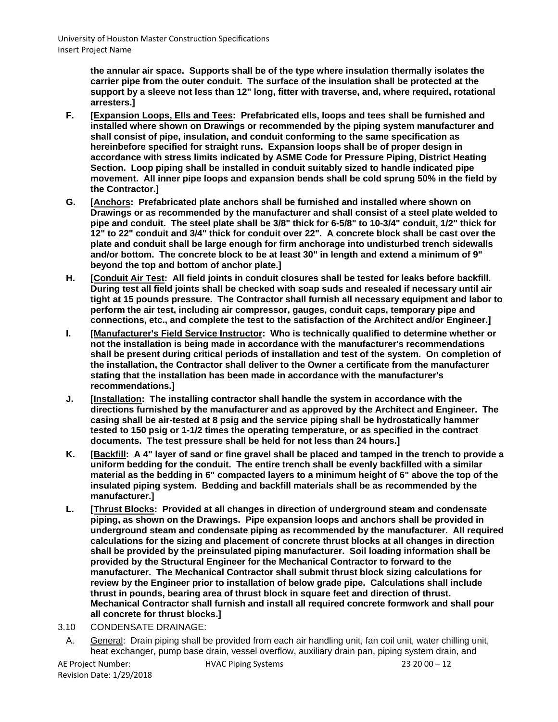**the annular air space. Supports shall be of the type where insulation thermally isolates the carrier pipe from the outer conduit. The surface of the insulation shall be protected at the support by a sleeve not less than 12" long, fitter with traverse, and, where required, rotational arresters.]**

- **F. [Expansion Loops, Ells and Tees: Prefabricated ells, loops and tees shall be furnished and installed where shown on Drawings or recommended by the piping system manufacturer and shall consist of pipe, insulation, and conduit conforming to the same specification as hereinbefore specified for straight runs. Expansion loops shall be of proper design in accordance with stress limits indicated by ASME Code for Pressure Piping, District Heating Section. Loop piping shall be installed in conduit suitably sized to handle indicated pipe movement. All inner pipe loops and expansion bends shall be cold sprung 50% in the field by the Contractor.]**
- **G. [Anchors: Prefabricated plate anchors shall be furnished and installed where shown on Drawings or as recommended by the manufacturer and shall consist of a steel plate welded to pipe and conduit. The steel plate shall be 3/8" thick for 6-5/8" to 10-3/4" conduit, 1/2" thick for 12" to 22" conduit and 3/4" thick for conduit over 22". A concrete block shall be cast over the plate and conduit shall be large enough for firm anchorage into undisturbed trench sidewalls and/or bottom. The concrete block to be at least 30" in length and extend a minimum of 9" beyond the top and bottom of anchor plate.]**
- **H. [Conduit Air Test: All field joints in conduit closures shall be tested for leaks before backfill. During test all field joints shall be checked with soap suds and resealed if necessary until air tight at 15 pounds pressure. The Contractor shall furnish all necessary equipment and labor to perform the air test, including air compressor, gauges, conduit caps, temporary pipe and connections, etc., and complete the test to the satisfaction of the Architect and/or Engineer.]**
- **I. [Manufacturer's Field Service Instructor: Who is technically qualified to determine whether or not the installation is being made in accordance with the manufacturer's recommendations shall be present during critical periods of installation and test of the system. On completion of the installation, the Contractor shall deliver to the Owner a certificate from the manufacturer stating that the installation has been made in accordance with the manufacturer's recommendations.]**
- **J. [Installation: The installing contractor shall handle the system in accordance with the directions furnished by the manufacturer and as approved by the Architect and Engineer. The casing shall be air-tested at 8 psig and the service piping shall be hydrostatically hammer tested to 150 psig or 1-1/2 times the operating temperature, or as specified in the contract documents. The test pressure shall be held for not less than 24 hours.]**
- **K. [Backfill: A 4" layer of sand or fine gravel shall be placed and tamped in the trench to provide a uniform bedding for the conduit. The entire trench shall be evenly backfilled with a similar material as the bedding in 6" compacted layers to a minimum height of 6" above the top of the insulated piping system. Bedding and backfill materials shall be as recommended by the manufacturer.]**
- **L. [Thrust Blocks: Provided at all changes in direction of underground steam and condensate piping, as shown on the Drawings. Pipe expansion loops and anchors shall be provided in underground steam and condensate piping as recommended by the manufacturer. All required calculations for the sizing and placement of concrete thrust blocks at all changes in direction shall be provided by the preinsulated piping manufacturer. Soil loading information shall be provided by the Structural Engineer for the Mechanical Contractor to forward to the manufacturer. The Mechanical Contractor shall submit thrust block sizing calculations for review by the Engineer prior to installation of below grade pipe. Calculations shall include thrust in pounds, bearing area of thrust block in square feet and direction of thrust. Mechanical Contractor shall furnish and install all required concrete formwork and shall pour all concrete for thrust blocks.]**
- 3.10 CONDENSATE DRAINAGE:
	- A. General: Drain piping shall be provided from each air handling unit, fan coil unit, water chilling unit, heat exchanger, pump base drain, vessel overflow, auxiliary drain pan, piping system drain, and

AE Project Number: HVAC Piping Systems 23 20 00 – 12 Revision Date: 1/29/2018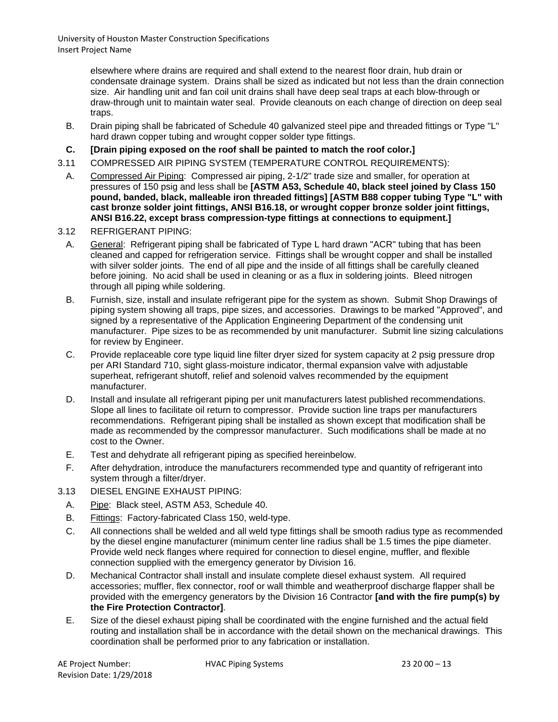> elsewhere where drains are required and shall extend to the nearest floor drain, hub drain or condensate drainage system. Drains shall be sized as indicated but not less than the drain connection size. Air handling unit and fan coil unit drains shall have deep seal traps at each blow-through or draw-through unit to maintain water seal. Provide cleanouts on each change of direction on deep seal traps.

- B. Drain piping shall be fabricated of Schedule 40 galvanized steel pipe and threaded fittings or Type "L" hard drawn copper tubing and wrought copper solder type fittings.
- **C. [Drain piping exposed on the roof shall be painted to match the roof color.]**
- 3.11 COMPRESSED AIR PIPING SYSTEM (TEMPERATURE CONTROL REQUIREMENTS):
- A. Compressed Air Piping: Compressed air piping, 2-1/2" trade size and smaller, for operation at pressures of 150 psig and less shall be **[ASTM A53, Schedule 40, black steel joined by Class 150 pound, banded, black, malleable iron threaded fittings] [ASTM B88 copper tubing Type "L" with cast bronze solder joint fittings, ANSI B16.18, or wrought copper bronze solder joint fittings, ANSI B16.22, except brass compression-type fittings at connections to equipment.]**
- 3.12 REFRIGERANT PIPING:
	- A. General: Refrigerant piping shall be fabricated of Type L hard drawn "ACR" tubing that has been cleaned and capped for refrigeration service. Fittings shall be wrought copper and shall be installed with silver solder joints. The end of all pipe and the inside of all fittings shall be carefully cleaned before joining. No acid shall be used in cleaning or as a flux in soldering joints. Bleed nitrogen through all piping while soldering.
	- B. Furnish, size, install and insulate refrigerant pipe for the system as shown. Submit Shop Drawings of piping system showing all traps, pipe sizes, and accessories. Drawings to be marked "Approved", and signed by a representative of the Application Engineering Department of the condensing unit manufacturer. Pipe sizes to be as recommended by unit manufacturer. Submit line sizing calculations for review by Engineer.
	- C. Provide replaceable core type liquid line filter dryer sized for system capacity at 2 psig pressure drop per ARI Standard 710, sight glass-moisture indicator, thermal expansion valve with adjustable superheat, refrigerant shutoff, relief and solenoid valves recommended by the equipment manufacturer.
	- D. Install and insulate all refrigerant piping per unit manufacturers latest published recommendations. Slope all lines to facilitate oil return to compressor. Provide suction line traps per manufacturers recommendations. Refrigerant piping shall be installed as shown except that modification shall be made as recommended by the compressor manufacturer. Such modifications shall be made at no cost to the Owner.
	- E. Test and dehydrate all refrigerant piping as specified hereinbelow.
	- F. After dehydration, introduce the manufacturers recommended type and quantity of refrigerant into system through a filter/dryer.
- 3.13 DIESEL ENGINE EXHAUST PIPING:
	- A. Pipe: Black steel, ASTM A53, Schedule 40.
	- B. Fittings: Factory-fabricated Class 150, weld-type.
	- C. All connections shall be welded and all weld type fittings shall be smooth radius type as recommended by the diesel engine manufacturer (minimum center line radius shall be 1.5 times the pipe diameter. Provide weld neck flanges where required for connection to diesel engine, muffler, and flexible connection supplied with the emergency generator by Division 16.
	- D. Mechanical Contractor shall install and insulate complete diesel exhaust system. All required accessories; muffler, flex connector, roof or wall thimble and weatherproof discharge flapper shall be provided with the emergency generators by the Division 16 Contractor **[and with the fire pump(s) by the Fire Protection Contractor]**.
	- E. Size of the diesel exhaust piping shall be coordinated with the engine furnished and the actual field routing and installation shall be in accordance with the detail shown on the mechanical drawings. This coordination shall be performed prior to any fabrication or installation.